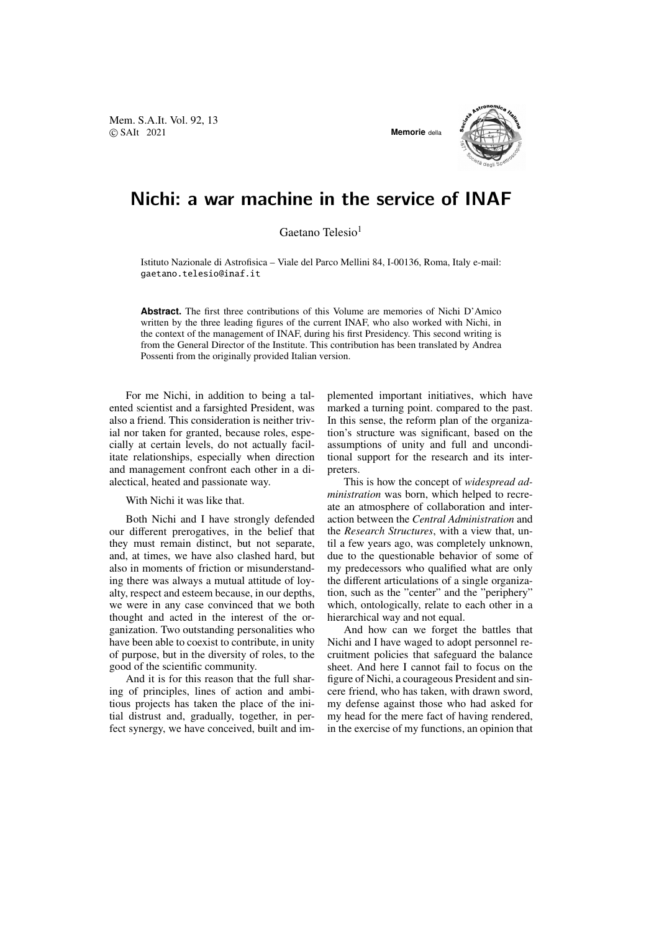Mem. S.A.It. Vol. 92, 13 © SAIt 2021 **Memorie** della



## Nichi: a war machine in the service of INAF

Gaetano Telesio<sup>1</sup>

Istituto Nazionale di Astrofisica – Viale del Parco Mellini 84, I-00136, Roma, Italy e-mail: gaetano.telesio@inaf.it

**Abstract.** The first three contributions of this Volume are memories of Nichi D'Amico written by the three leading figures of the current INAF, who also worked with Nichi, in the context of the management of INAF, during his first Presidency. This second writing is from the General Director of the Institute. This contribution has been translated by Andrea Possenti from the originally provided Italian version.

For me Nichi, in addition to being a talented scientist and a farsighted President, was also a friend. This consideration is neither trivial nor taken for granted, because roles, especially at certain levels, do not actually facilitate relationships, especially when direction and management confront each other in a dialectical, heated and passionate way.

With Nichi it was like that.

Both Nichi and I have strongly defended our different prerogatives, in the belief that they must remain distinct, but not separate, and, at times, we have also clashed hard, but also in moments of friction or misunderstanding there was always a mutual attitude of loyalty, respect and esteem because, in our depths, we were in any case convinced that we both thought and acted in the interest of the organization. Two outstanding personalities who have been able to coexist to contribute, in unity of purpose, but in the diversity of roles, to the good of the scientific community.

And it is for this reason that the full sharing of principles, lines of action and ambitious projects has taken the place of the initial distrust and, gradually, together, in perfect synergy, we have conceived, built and implemented important initiatives, which have marked a turning point. compared to the past. In this sense, the reform plan of the organization's structure was significant, based on the assumptions of unity and full and unconditional support for the research and its interpreters.

This is how the concept of *widespread administration* was born, which helped to recreate an atmosphere of collaboration and interaction between the *Central Administration* and the *Research Structures*, with a view that, until a few years ago, was completely unknown, due to the questionable behavior of some of my predecessors who qualified what are only the different articulations of a single organization, such as the "center" and the "periphery" which, ontologically, relate to each other in a hierarchical way and not equal.

And how can we forget the battles that Nichi and I have waged to adopt personnel recruitment policies that safeguard the balance sheet. And here I cannot fail to focus on the figure of Nichi, a courageous President and sincere friend, who has taken, with drawn sword, my defense against those who had asked for my head for the mere fact of having rendered, in the exercise of my functions, an opinion that